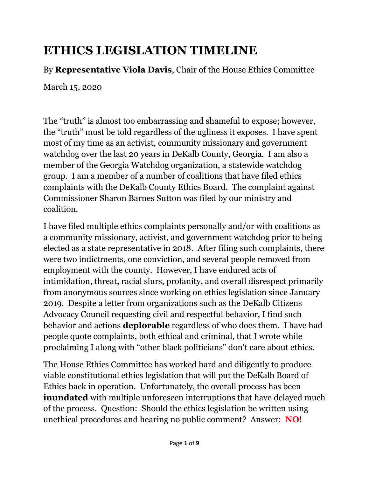# **ETHICS LEGISLATION TIMELINE**

By **Representative Viola Davis**, Chair of the House Ethics Committee

March 15, 2020

The "truth" is almost too embarrassing and shameful to expose; however, the "truth" must be told regardless of the ugliness it exposes. I have spent most of my time as an activist, community missionary and government watchdog over the last 20 years in DeKalb County, Georgia. I am also a member of the Georgia Watchdog organization, a statewide watchdog group. I am a member of a number of coalitions that have filed ethics complaints with the DeKalb County Ethics Board. The complaint against Commissioner Sharon Barnes Sutton was filed by our ministry and coalition.

I have filed multiple ethics complaints personally and/or with coalitions as a community missionary, activist, and government watchdog prior to being elected as a state representative in 2018. After filing such complaints, there were two indictments, one conviction, and several people removed from employment with the county. However, I have endured acts of intimidation, threat, racial slurs, profanity, and overall disrespect primarily from anonymous sources since working on ethics legislation since January 2019. Despite a letter from organizations such as the DeKalb Citizens Advocacy Council requesting civil and respectful behavior, I find such behavior and actions **deplorable** regardless of who does them. I have had people quote complaints, both ethical and criminal, that I wrote while proclaiming I along with "other black politicians" don"t care about ethics.

The House Ethics Committee has worked hard and diligently to produce viable constitutional ethics legislation that will put the DeKalb Board of Ethics back in operation. Unfortunately, the overall process has been **inundated** with multiple unforeseen interruptions that have delayed much of the process. Question: Should the ethics legislation be written using unethical procedures and hearing no public comment? Answer: **NO**!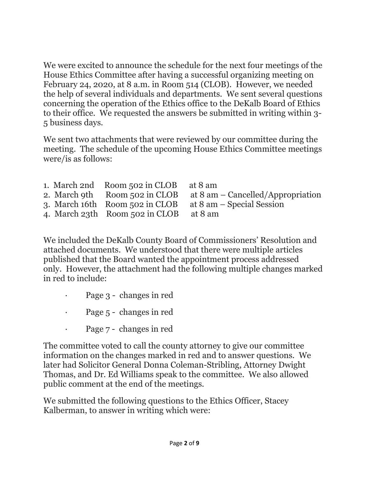We were excited to announce the schedule for the next four meetings of the House Ethics Committee after having a successful organizing meeting on February 24, 2020, at 8 a.m. in Room 514 (CLOB). However, we needed the help of several individuals and departments. We sent several questions concerning the operation of the Ethics office to the DeKalb Board of Ethics to their office. We requested the answers be submitted in writing within 3- 5 business days.

We sent two attachments that were reviewed by our committee during the meeting. The schedule of the upcoming House Ethics Committee meetings were/is as follows:

|  | 1. March 2nd Room 502 in CLOB at 8 am                                    | 2. March 9th Room 502 in CLOB at $8 \text{ am}$ – Cancelled/Appropriation |
|--|--------------------------------------------------------------------------|---------------------------------------------------------------------------|
|  | 3. March 16th Room 502 in CLOB<br>4. March 23th Room 502 in CLOB at 8 am | at 8 am – Special Session                                                 |

We included the DeKalb County Board of Commissioners' Resolution and attached documents. We understood that there were multiple articles published that the Board wanted the appointment process addressed only. However, the attachment had the following multiple changes marked in red to include:

- · Page 3 changes in red
- Page 5 changes in red
	- Page 7 changes in red

The committee voted to call the county attorney to give our committee information on the changes marked in red and to answer questions. We later had Solicitor General Donna Coleman-Stribling, Attorney Dwight Thomas, and Dr. Ed Williams speak to the committee. We also allowed public comment at the end of the meetings.

We submitted the following questions to the Ethics Officer, Stacey Kalberman, to answer in writing which were: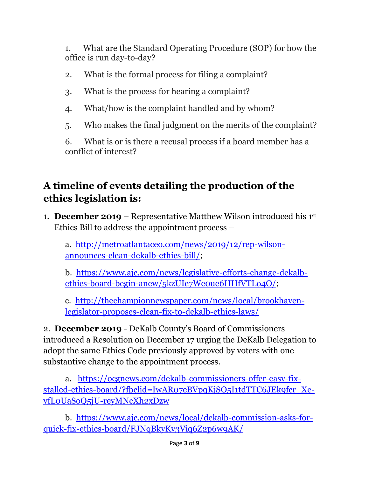1. What are the Standard Operating Procedure (SOP) for how the office is run day-to-day?

- 2. What is the formal process for filing a complaint?
- 3. What is the process for hearing a complaint?
- 4. What/how is the complaint handled and by whom?
- 5. Who makes the final judgment on the merits of the complaint?

6. What is or is there a recusal process if a board member has a conflict of interest?

### **A timeline of events detailing the production of the ethics legislation is:**

1. **December 2019** – Representative Matthew Wilson introduced his 1st Ethics Bill to address the appointment process –

a. [http://metroatlantaceo.com/news/2019/12/rep-wilson](http://metroatlantaceo.com/news/2019/12/rep-wilson-announces-clean-dekalb-ethics-bill/)[announces-clean-dekalb-ethics-bill/;](http://metroatlantaceo.com/news/2019/12/rep-wilson-announces-clean-dekalb-ethics-bill/)

b. [https://www.ajc.com/news/legislative-efforts-change-dekalb](https://www.ajc.com/news/legislative-efforts-change-dekalb-ethics-board-begin-anew/5kzUIe7We0ue6HHfVTLo4O/)[ethics-board-begin-anew/5kzUIe7We0ue6HHfVTLo4O/;](https://www.ajc.com/news/legislative-efforts-change-dekalb-ethics-board-begin-anew/5kzUIe7We0ue6HHfVTLo4O/)

c. [http://thechampionnewspaper.com/news/local/brookhaven](http://thechampionnewspaper.com/news/local/brookhaven-legislator-proposes-clean-fix-to-dekalb-ethics-laws/)[legislator-proposes-clean-fix-to-dekalb-ethics-laws/](http://thechampionnewspaper.com/news/local/brookhaven-legislator-proposes-clean-fix-to-dekalb-ethics-laws/)

2. **December 2019** - DeKalb County"s Board of Commissioners introduced a Resolution on December 17 urging the DeKalb Delegation to adopt the same Ethics Code previously approved by voters with one substantive change to the appointment process.

a. [https://ocgnews.com/dekalb-commissioners-offer-easy-fix](https://ocgnews.com/dekalb-commissioners-offer-easy-fix-stalled-ethics-board/?fbclid=IwAR07eBVpqKjSO5I1tdTTC6JEk9fcr_Xe-vfL0UaSoQ5jU-reyMNcXh2xDzw)[stalled-ethics-board/?fbclid=IwAR07eBVpqKjSO5I1tdTTC6JEk9fcr\\_Xe](https://ocgnews.com/dekalb-commissioners-offer-easy-fix-stalled-ethics-board/?fbclid=IwAR07eBVpqKjSO5I1tdTTC6JEk9fcr_Xe-vfL0UaSoQ5jU-reyMNcXh2xDzw)[vfL0UaSoQ5jU-reyMNcXh2xDzw](https://ocgnews.com/dekalb-commissioners-offer-easy-fix-stalled-ethics-board/?fbclid=IwAR07eBVpqKjSO5I1tdTTC6JEk9fcr_Xe-vfL0UaSoQ5jU-reyMNcXh2xDzw)

b. [https://www.ajc.com/news/local/dekalb-commission-asks-for](https://www.ajc.com/news/local/dekalb-commission-asks-for-quick-fix-ethics-board/FJNqBkyKv3Viq6Z2p6w9AK/)[quick-fix-ethics-board/FJNqBkyKv3Viq6Z2p6w9AK/](https://www.ajc.com/news/local/dekalb-commission-asks-for-quick-fix-ethics-board/FJNqBkyKv3Viq6Z2p6w9AK/)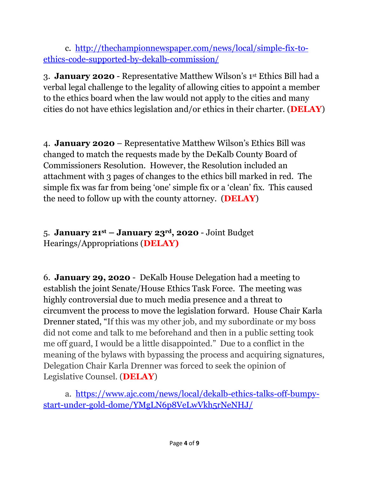c. [http://thechampionnewspaper.com/news/local/simple-fix-to](http://thechampionnewspaper.com/news/local/simple-fix-to-ethics-code-supported-by-dekalb-commission/)[ethics-code-supported-by-dekalb-commission/](http://thechampionnewspaper.com/news/local/simple-fix-to-ethics-code-supported-by-dekalb-commission/)

3. **January 2020** - Representative Matthew Wilson"s 1st Ethics Bill had a verbal legal challenge to the legality of allowing cities to appoint a member to the ethics board when the law would not apply to the cities and many cities do not have ethics legislation and/or ethics in their charter. (**DELAY**)

4. **January 2020** – Representative Matthew Wilson"s Ethics Bill was changed to match the requests made by the DeKalb County Board of Commissioners Resolution. However, the Resolution included an attachment with 3 pages of changes to the ethics bill marked in red. The simple fix was far from being "one" simple fix or a "clean" fix. This caused the need to follow up with the county attorney. (**DELAY**)

#### 5. **January 21st – January 23rd, 2020** - Joint Budget Hearings/Appropriations (**DELAY)**

6. **January 29, 2020** - DeKalb House Delegation had a meeting to establish the joint Senate/House Ethics Task Force. The meeting was highly controversial due to much media presence and a threat to circumvent the process to move the legislation forward. House Chair Karla Drenner stated, "If this was my other job, and my subordinate or my boss did not come and talk to me beforehand and then in a public setting took me off guard, I would be a little disappointed." Due to a conflict in the meaning of the bylaws with bypassing the process and acquiring signatures, Delegation Chair Karla Drenner was forced to seek the opinion of Legislative Counsel. (**DELAY**)

a. [https://www.ajc.com/news/local/dekalb-ethics-talks-off-bumpy](https://www.ajc.com/news/local/dekalb-ethics-talks-off-bumpy-start-under-gold-dome/YMgLN6p8VeLwVkh5rNeNHJ/)[start-under-gold-dome/YMgLN6p8VeLwVkh5rNeNHJ/](https://www.ajc.com/news/local/dekalb-ethics-talks-off-bumpy-start-under-gold-dome/YMgLN6p8VeLwVkh5rNeNHJ/)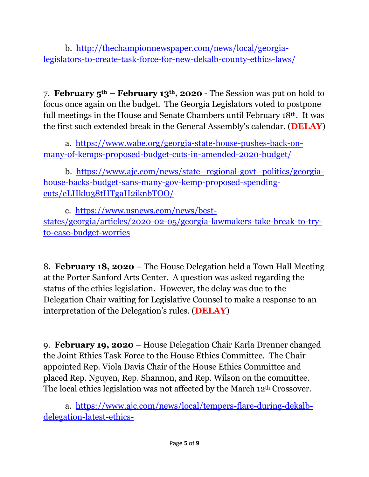b. [http://thechampionnewspaper.com/news/local/georgia](http://thechampionnewspaper.com/news/local/georgia-legislators-to-create-task-force-for-new-dekalb-county-ethics-laws/)[legislators-to-create-task-force-for-new-dekalb-county-ethics-laws/](http://thechampionnewspaper.com/news/local/georgia-legislators-to-create-task-force-for-new-dekalb-county-ethics-laws/)

7. **February 5th – February 13th, 2020** - The Session was put on hold to focus once again on the budget. The Georgia Legislators voted to postpone full meetings in the House and Senate Chambers until February 18th. It was the first such extended break in the General Assembly"s calendar. (**DELAY**)

a. [https://www.wabe.org/georgia-state-house-pushes-back-on](https://www.wabe.org/georgia-state-house-pushes-back-on-many-of-kemps-proposed-budget-cuts-in-amended-2020-budget/)[many-of-kemps-proposed-budget-cuts-in-amended-2020-budget/](https://www.wabe.org/georgia-state-house-pushes-back-on-many-of-kemps-proposed-budget-cuts-in-amended-2020-budget/)

b. [https://www.ajc.com/news/state--regional-govt--politics/georgia](https://www.ajc.com/news/state--regional-govt--politics/georgia-house-backs-budget-sans-many-gov-kemp-proposed-spending-cuts/eLHklu38tHTgaH2iknbTOO/)[house-backs-budget-sans-many-gov-kemp-proposed-spending](https://www.ajc.com/news/state--regional-govt--politics/georgia-house-backs-budget-sans-many-gov-kemp-proposed-spending-cuts/eLHklu38tHTgaH2iknbTOO/)[cuts/eLHklu38tHTgaH2iknbTOO/](https://www.ajc.com/news/state--regional-govt--politics/georgia-house-backs-budget-sans-many-gov-kemp-proposed-spending-cuts/eLHklu38tHTgaH2iknbTOO/)

c. [https://www.usnews.com/news/best](https://www.usnews.com/news/best-states/georgia/articles/2020-02-05/georgia-lawmakers-take-break-to-try-to-ease-budget-worries)[states/georgia/articles/2020-02-05/georgia-lawmakers-take-break-to-try](https://www.usnews.com/news/best-states/georgia/articles/2020-02-05/georgia-lawmakers-take-break-to-try-to-ease-budget-worries)[to-ease-budget-worries](https://www.usnews.com/news/best-states/georgia/articles/2020-02-05/georgia-lawmakers-take-break-to-try-to-ease-budget-worries)

8. **February 18, 2020** – The House Delegation held a Town Hall Meeting at the Porter Sanford Arts Center. A question was asked regarding the status of the ethics legislation. However, the delay was due to the Delegation Chair waiting for Legislative Counsel to make a response to an interpretation of the Delegation"s rules. (**DELAY**)

9. **February 19, 2020** – House Delegation Chair Karla Drenner changed the Joint Ethics Task Force to the House Ethics Committee. The Chair appointed Rep. Viola Davis Chair of the House Ethics Committee and placed Rep. Nguyen, Rep. Shannon, and Rep. Wilson on the committee. The local ethics legislation was not affected by the March 12th Crossover.

a. [https://www.ajc.com/news/local/tempers-flare-during-dekalb](https://www.ajc.com/news/local/tempers-flare-during-dekalb-delegation-latest-ethics-discussion/IAl9w18kyN2Uiqi3lK8uTN/?fbclid=IwAR0opFFxGpTOnvWugB8yjdArnhoDu3R_3eZ9-0cMT-PQ2W2A1tcFNtjwuBc)[delegation-latest-ethics-](https://www.ajc.com/news/local/tempers-flare-during-dekalb-delegation-latest-ethics-discussion/IAl9w18kyN2Uiqi3lK8uTN/?fbclid=IwAR0opFFxGpTOnvWugB8yjdArnhoDu3R_3eZ9-0cMT-PQ2W2A1tcFNtjwuBc)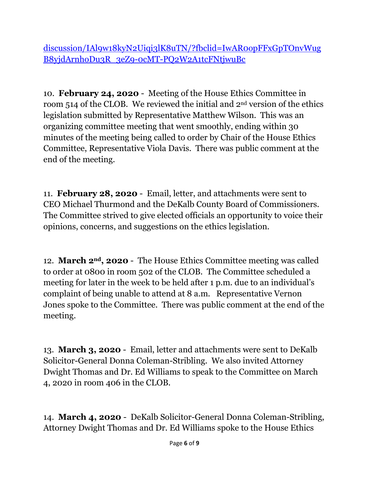[discussion/IAl9w18kyN2Uiqi3lK8uTN/?fbclid=IwAR0opFFxGpTOnvWug](https://www.ajc.com/news/local/tempers-flare-during-dekalb-delegation-latest-ethics-discussion/IAl9w18kyN2Uiqi3lK8uTN/?fbclid=IwAR0opFFxGpTOnvWugB8yjdArnhoDu3R_3eZ9-0cMT-PQ2W2A1tcFNtjwuBc) [B8yjdArnhoDu3R\\_3eZ9-0cMT-PQ2W2A1tcFNtjwuBc](https://www.ajc.com/news/local/tempers-flare-during-dekalb-delegation-latest-ethics-discussion/IAl9w18kyN2Uiqi3lK8uTN/?fbclid=IwAR0opFFxGpTOnvWugB8yjdArnhoDu3R_3eZ9-0cMT-PQ2W2A1tcFNtjwuBc)

10. **February 24, 2020** - Meeting of the House Ethics Committee in room 514 of the CLOB. We reviewed the initial and 2nd version of the ethics legislation submitted by Representative Matthew Wilson. This was an organizing committee meeting that went smoothly, ending within 30 minutes of the meeting being called to order by Chair of the House Ethics Committee, Representative Viola Davis. There was public comment at the end of the meeting.

11. **February 28, 2020** - Email, letter, and attachments were sent to CEO Michael Thurmond and the DeKalb County Board of Commissioners. The Committee strived to give elected officials an opportunity to voice their opinions, concerns, and suggestions on the ethics legislation.

12. **March 2nd, 2020** - The House Ethics Committee meeting was called to order at 0800 in room 502 of the CLOB. The Committee scheduled a meeting for later in the week to be held after 1 p.m. due to an individual's complaint of being unable to attend at 8 a.m. Representative Vernon Jones spoke to the Committee. There was public comment at the end of the meeting.

13. **March 3, 2020** - Email, letter and attachments were sent to DeKalb Solicitor-General Donna Coleman-Stribling. We also invited Attorney Dwight Thomas and Dr. Ed Williams to speak to the Committee on March 4, 2020 in room 406 in the CLOB.

14. **March 4, 2020** - DeKalb Solicitor-General Donna Coleman-Stribling, Attorney Dwight Thomas and Dr. Ed Williams spoke to the House Ethics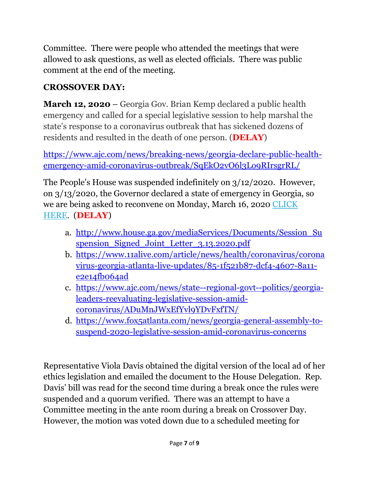Committee. There were people who attended the meetings that were allowed to ask questions, as well as elected officials. There was public comment at the end of the meeting.

#### **CROSSOVER DAY:**

**March 12, 2020** – Georgia Gov. Brian Kemp declared a public health emergency and called for a special legislative session to help marshal the state"s response to a coronavirus outbreak that has sickened dozens of residents and resulted in the death of one person. (**DELAY**)

[https://www.ajc.com/news/breaking-news/georgia-declare-public-health](https://www.ajc.com/news/breaking-news/georgia-declare-public-health-emergency-amid-coronavirus-outbreak/SqEkO2vO6l3Lo9RIrsgrRL/)[emergency-amid-coronavirus-outbreak/SqEkO2vO6l3Lo9RIrsgrRL/](https://www.ajc.com/news/breaking-news/georgia-declare-public-health-emergency-amid-coronavirus-outbreak/SqEkO2vO6l3Lo9RIrsgrRL/)

The People's House was suspended indefinitely on 3/12/2020. However, on 3/13/2020, the Governor declared a state of emergency in Georgia, so we are being asked to reconvene on Monday, March 16, 2020 [CLICK](https://electdonnamcleod.us13.list-manage.com/track/click?u=2af0dfff22464e522d34feff7&id=39b1619102&e=8c34c4b38b)  [HERE.](https://electdonnamcleod.us13.list-manage.com/track/click?u=2af0dfff22464e522d34feff7&id=39b1619102&e=8c34c4b38b) (**DELAY**)

- a. [http://www.house.ga.gov/mediaServices/Documents/Session\\_Su](http://www.house.ga.gov/mediaServices/Documents/Session_Suspension_Signed_Joint_Letter_3.13.2020.pdf) spension Signed Joint Letter 3.13.2020.pdf
- b. [https://www.11alive.com/article/news/health/coronavirus/corona](https://www.11alive.com/article/news/health/coronavirus/coronavirus-georgia-atlanta-live-updates/85-1f521b87-dcf4-4607-8a11-e2e14fb064ad) [virus-georgia-atlanta-live-updates/85-1f521b87-dcf4-4607-8a11](https://www.11alive.com/article/news/health/coronavirus/coronavirus-georgia-atlanta-live-updates/85-1f521b87-dcf4-4607-8a11-e2e14fb064ad) [e2e14fb064ad](https://www.11alive.com/article/news/health/coronavirus/coronavirus-georgia-atlanta-live-updates/85-1f521b87-dcf4-4607-8a11-e2e14fb064ad)
- c. [https://www.ajc.com/news/state--regional-govt--politics/georgia](https://www.ajc.com/news/state--regional-govt--politics/georgia-leaders-reevaluating-legislative-session-amid-coronavirus/ADuMnJWxEfYvl9YDvFxfTN/)[leaders-reevaluating-legislative-session-amid](https://www.ajc.com/news/state--regional-govt--politics/georgia-leaders-reevaluating-legislative-session-amid-coronavirus/ADuMnJWxEfYvl9YDvFxfTN/)[coronavirus/ADuMnJWxEfYvl9YDvFxfTN/](https://www.ajc.com/news/state--regional-govt--politics/georgia-leaders-reevaluating-legislative-session-amid-coronavirus/ADuMnJWxEfYvl9YDvFxfTN/)
- d. [https://www.fox5atlanta.com/news/georgia-general-assembly-to](https://www.fox5atlanta.com/news/georgia-general-assembly-to-suspend-2020-legislative-session-amid-coronavirus-concerns)[suspend-2020-legislative-session-amid-coronavirus-concerns](https://www.fox5atlanta.com/news/georgia-general-assembly-to-suspend-2020-legislative-session-amid-coronavirus-concerns)

Representative Viola Davis obtained the digital version of the local ad of her ethics legislation and emailed the document to the House Delegation. Rep. Davis" bill was read for the second time during a break once the rules were suspended and a quorum verified. There was an attempt to have a Committee meeting in the ante room during a break on Crossover Day. However, the motion was voted down due to a scheduled meeting for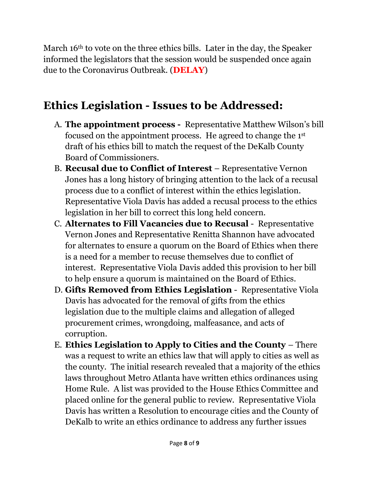March 16<sup>th</sup> to vote on the three ethics bills. Later in the day, the Speaker informed the legislators that the session would be suspended once again due to the Coronavirus Outbreak. (**DELAY**)

## **Ethics Legislation - Issues to be Addressed:**

- A. **The appointment process** Representative Matthew Wilson"s bill focused on the appointment process. He agreed to change the 1st draft of his ethics bill to match the request of the DeKalb County Board of Commissioners.
- B. **Recusal due to Conflict of Interest** Representative Vernon Jones has a long history of bringing attention to the lack of a recusal process due to a conflict of interest within the ethics legislation. Representative Viola Davis has added a recusal process to the ethics legislation in her bill to correct this long held concern.
- C. **Alternates to Fill Vacancies due to Recusal** Representative Vernon Jones and Representative Renitta Shannon have advocated for alternates to ensure a quorum on the Board of Ethics when there is a need for a member to recuse themselves due to conflict of interest. Representative Viola Davis added this provision to her bill to help ensure a quorum is maintained on the Board of Ethics.
- D. **Gifts Removed from Ethics Legislation** Representative Viola Davis has advocated for the removal of gifts from the ethics legislation due to the multiple claims and allegation of alleged procurement crimes, wrongdoing, malfeasance, and acts of corruption.
- E. **Ethics Legislation to Apply to Cities and the County**  There was a request to write an ethics law that will apply to cities as well as the county. The initial research revealed that a majority of the ethics laws throughout Metro Atlanta have written ethics ordinances using Home Rule. A list was provided to the House Ethics Committee and placed online for the general public to review. Representative Viola Davis has written a Resolution to encourage cities and the County of DeKalb to write an ethics ordinance to address any further issues